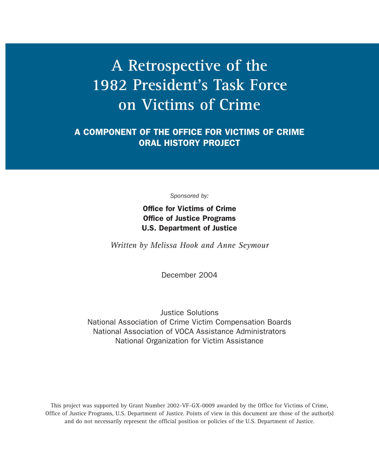# **A Retrospective of the 1982 President's Task Force on Victims of Crime**

**A COMPONENT OF THE OFFICE FOR VICTIMS OF CRIME ORAL HISTORY PROJECT**

*Sponsored by:*

**Office for Victims of Crime Office of Justice Programs U.S. Department of Justice**

*Written by Melissa Hook and Anne Seymour*

December 2004

Justice Solutions National Association of Crime Victim Compensation Boards National Association of VOCA Assistance Administrators National Organization for Victim Assistance

This project was supported by Grant Number 2002-VF-GX-0009 awarded by the Office for Victims of Crime, Office of Justice Programs, U.S. Department of Justice. Points of view in this document are those of the author(s) and do not necessarily represent the official position or policies of the U.S. Department of Justice.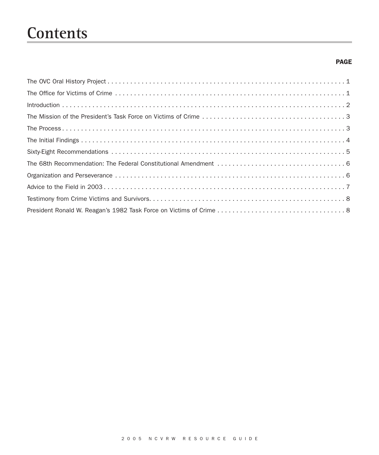# **Contents**

## **PAGE**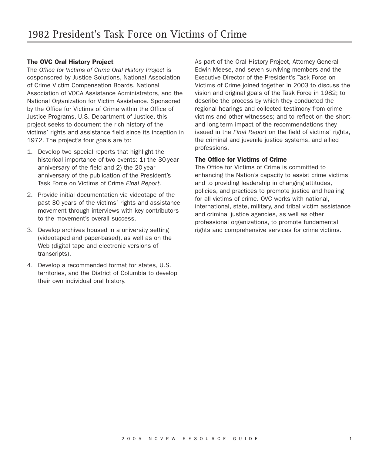## **The OVC Oral History Project**

The *Office for Victims of Crime Oral History Project* is cosponsored by Justice Solutions, National Association of Crime Victim Compensation Boards, National Association of VOCA Assistance Administrators, and the National Organization for Victim Assistance. Sponsored by the Office for Victims of Crime within the Office of Justice Programs, U.S. Department of Justice, this project seeks to document the rich history of the victims' rights and assistance field since its inception in 1972. The project's four goals are to:

- 1. Develop two special reports that highlight the historical importance of two events: 1) the 30-year anniversary of the field and 2) the 20-year anniversary of the publication of the President's Task Force on Victims of Crime *Final Report*.
- 2. Provide initial documentation via videotape of the past 30 years of the victims' rights and assistance movement through interviews with key contributors to the movement's overall success.
- 3. Develop archives housed in a university setting (videotaped and paper-based), as well as on the Web (digital tape and electronic versions of transcripts).
- 4. Develop a recommended format for states, U.S. territories, and the District of Columbia to develop their own individual oral history.

As part of the Oral History Project, Attorney General Edwin Meese, and seven surviving members and the Executive Director of the President's Task Force on Victims of Crime joined together in 2003 to discuss the vision and original goals of the Task Force in 1982; to describe the process by which they conducted the regional hearings and collected testimony from crime victims and other witnesses; and to reflect on the shortand long-term impact of the recommendations they issued in the *Final Report* on the field of victims' rights, the criminal and juvenile justice systems, and allied professions.

#### **The Office for Victims of Crime**

The Office for Victims of Crime is committed to enhancing the Nation's capacity to assist crime victims and to providing leadership in changing attitudes, policies, and practices to promote justice and healing for all victims of crime. OVC works with national, international, state, military, and tribal victim assistance and criminal justice agencies, as well as other professional organizations, to promote fundamental rights and comprehensive services for crime victims.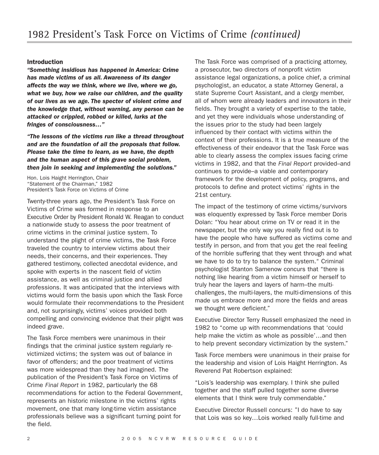#### **Introduction**

*"Something insidious has happened in America: Crime has made victims of us all. Awareness of its danger affects the way we think, where we live, where we go, what we buy, how we raise our children, and the quality of our lives as we age. The specter of violent crime and the knowledge that, without warning, any person can be attacked or crippled, robbed or killed, lurks at the fringes of consciousness…"*

*"The lessons of the victims run like a thread throughout and are the foundation of all the proposals that follow. Please take the time to learn, as we have, the depth and the human aspect of this grave social problem, then join in seeking and implementing the solutions."*

Hon. Lois Haight Herrington, Chair "Statement of the Chairman," 1982 President's Task Force on Victims of Crime

Twenty-three years ago, the President's Task Force on Victims of Crime was formed in response to an Executive Order by President Ronald W. Reagan to conduct a nationwide study to assess the poor treatment of crime victims in the criminal justice system. To understand the plight of crime victims, the Task Force traveled the country to interview victims about their needs, their concerns, and their experiences. They gathered testimony, collected anecdotal evidence, and spoke with experts in the nascent field of victim assistance, as well as criminal justice and allied professions. It was anticipated that the interviews with victims would form the basis upon which the Task Force would formulate their recommendations to the President and, not surprisingly, victims' voices provided both compelling and convincing evidence that their plight was indeed grave.

The Task Force members were unanimous in their findings that the criminal justice system regularly revictimized victims; the system was out of balance in favor of offenders; and the poor treatment of victims was more widespread than they had imagined. The publication of the President's Task Force on Victims of Crime *Final Report* in 1982, particularly the 68 recommendations for action to the Federal Government, represents an historic milestone in the victims' rights movement, one that many long-time victim assistance professionals believe was a significant turning point for the field.

The Task Force was comprised of a practicing attorney, a prosecutor, two directors of nonprofit victim assistance legal organizations, a police chief, a criminal psychologist, an educator, a state Attorney General, a state Supreme Court Assistant, and a clergy member, all of whom were already leaders and innovators in their fields. They brought a variety of expertise to the table, and yet they were individuals whose understanding of the issues prior to the study had been largely influenced by their contact with victims within the context of their professions. It is a true measure of the effectiveness of their endeavor that the Task Force was able to clearly assess the complex issues facing crime victims in 1982, and that the *Final Report* provided–and continues to provide–a viable and contemporary framework for the development of policy, programs, and protocols to define and protect victims' rights in the 21st century.

The impact of the testimony of crime victims/survivors was eloquently expressed by Task Force member Doris Dolan: "You hear about crime on TV or read it in the newspaper, but the only way you really find out is to have the people who have suffered as victims come and testify in person, and from that you get the real feeling of the horrible suffering that they went through and what we have to do to try to balance the system." Criminal psychologist Stanton Samenow concurs that "there is nothing like hearing from a victim himself or herself to truly hear the layers and layers of harm–the multichallenges, the multi-layers, the multi-dimensions of this made us embrace more and more the fields and areas we thought were deficient."

Executive Director Terry Russell emphasized the need in 1982 to "come up with recommendations that 'could help make the victim as whole as possible'…and then to help prevent secondary victimization by the system."

Task Force members were unanimous in their praise for the leadership and vision of Lois Haight Herrington. As Reverend Pat Robertson explained:

"Lois's leadership was exemplary. I think she pulled together and the staff pulled together some diverse elements that I think were truly commendable."

Executive Director Russell concurs: "I do have to say that Lois was so key…Lois worked really full-time and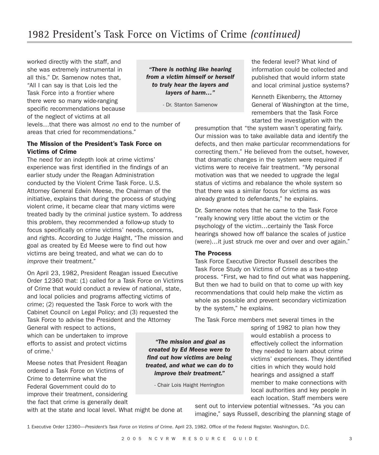worked directly with the staff, and she was extremely instrumental in all this." Dr. Samenow notes that, "All I can say is that Lois led the Task Force into a frontier where there were so many wide-ranging specific recommendations because of the neglect of victims at all

*"There is nothing like hearing from a victim himself or herself to truly hear the layers and layers of harm…"*

- Dr. Stanton Samenow

levels…that there was almost *no* end to the number of areas that cried for recommendations."

## **The Mission of the President's Task Force on Victims of Crime**

The need for an indepth look at crime victims' experience was first identified in the findings of an earlier study under the Reagan Administration conducted by the Violent Crime Task Force. U.S. Attorney General Edwin Meese, the Chairman of the initiative, explains that during the process of studying violent crime, it became clear that many victims were treated badly by the criminal justice system. To address this problem, they recommended a follow-up study to focus specifically on crime victims' needs, concerns, and rights. According to Judge Haight, "The mission and goal as created by Ed Meese were to find out how victims are being treated, and what we can do to *improve* their treatment."

On April 23, 1982, President Reagan issued Executive Order 12360 that: (1) called for a Task Force on Victims of Crime that would conduct a review of national, state, and local policies and programs affecting victims of crime; (2) requested the Task Force to work with the Cabinet Council on Legal Policy; and (3) requested the Task Force to advise the President and the Attorney

General with respect to actions, which can be undertaken to improve efforts to assist and protect victims of crime.<sup>1</sup>

Meese notes that President Reagan ordered a Task Force on Victims of Crime to determine what the Federal Government could do to improve their treatment, considering the fact that crime is generally dealt

with at the state and local level. What might be done at

the federal level? What kind of information could be collected and published that would inform state and local criminal justice systems?

Kenneth Eikenberry, the Attorney General of Washington at the time, remembers that the Task Force started the investigation with the

presumption that "the system wasn't operating fairly. Our mission was to take available data and identify the defects, and then make particular recommendations for correcting them." He believed from the outset, however, that dramatic changes in the system were required if victims were to receive fair treatment. "My personal motivation was that we needed to upgrade the legal status of victims and rebalance the whole system so that there was a similar focus for victims as was already granted to defendants," he explains.

Dr. Samenow notes that he came to the Task Force "really knowing very little about the victim or the psychology of the victim…certainly the Task Force hearings showed how off balance the scales of justice (were)…it just struck me over and over and over again."

#### **The Process**

Task Force Executive Director Russell describes the Task Force Study on Victims of Crime as a two-step process. "First, we had to find out what was happening. But then we had to build on that to come up with key recommendations that could help make the victim as whole as possible and prevent secondary victimization by the system," he explains.

The Task Force members met several times in the

spring of 1982 to plan how they would establish a process to effectively collect the information they needed to learn about crime victims' experiences. They identified cities in which they would hold hearings and assigned a staff member to make connections with local authorities and key people in each location. Staff members were

sent out to interview potential witnesses. "As you can imagine," says Russell, describing the planning stage of

1 Executive Order 12360—*President's Task Force on Victims of Crime*. April 23, 1982. Office of the Federal Register. Washington, D.C.

*"The mission and goal as created by Ed Meese were to find out how victims are being treated, and what we can do to improve their treatment."*

- Chair Lois Haight Herrington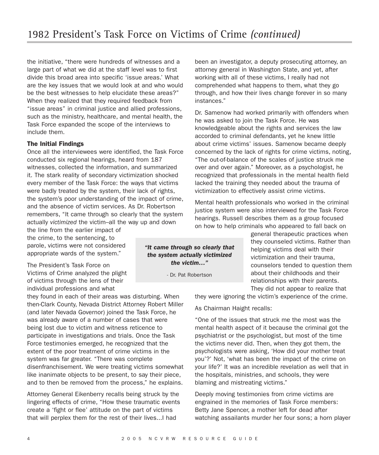the initiative, "there were hundreds of witnesses and a large part of what we did at the staff level was to first divide this broad area into specific 'issue areas.' What are the key issues that we would look at and who would be the best witnesses to help elucidate these areas?" When they realized that they required feedback from "issue areas" in criminal justice and allied professions, such as the ministry, healthcare, and mental health, the Task Force expanded the scope of the interviews to include them.

#### **The Initial Findings**

Once all the interviewees were identified, the Task Force conducted six regional hearings, heard from 187 witnesses, collected the information, and summarized it. The stark reality of secondary victimization shocked every member of the Task Force: the ways that victims were badly treated by the system, their lack of rights, the system's poor understanding of the impact of crime, and the absence of victim services. As Dr. Robertson remembers, "It came through so clearly that the system actually *victimized* the victim–all the way up and down the line from the earlier impact of

the crime, to the sentencing, to parole, victims were not considered appropriate wards of the system."

The President's Task Force on Victims of Crime analyzed the plight of victims through the lens of their individual professions and what

they found in each of their areas was disturbing. When then-Clark County, Nevada District Attorney Robert Miller (and later Nevada Governor) joined the Task Force, he was already aware of a number of cases that were being lost due to victim and witness reticence to participate in investigations and trials. Once the Task Force testimonies emerged, he recognized that the extent of the poor treatment of crime victims in the system was far greater. "There was complete disenfranchisement. We were treating victims somewhat like inanimate objects to be present, to say their piece, and to then be removed from the process," he explains.

Attorney General Eikenberry recalls being struck by the lingering effects of crime, "How these traumatic events create a 'fight or flee' attitude on the part of victims that will perplex them for the rest of their lives...I had

*"It came through so clearly that the system actually victimized the victim…"*

- Dr. Pat Robertson

been an investigator, a deputy prosecuting attorney, an attorney general in Washington State, and yet, after working with all of these victims, I really had not comprehended what happens to them, what they go through, and how their lives change forever in so many instances."

Dr. Samenow had worked primarily with offenders when he was asked to join the Task Force. He was knowledgeable about the rights and services the law accorded to criminal defendants, yet he knew little about crime victims' issues. Samenow became deeply concerned by the lack of rights for crime victims, noting, "The out-of-balance of the scales of justice struck me over and over again." Moreover, as a psychologist, he recognized that professionals in the mental health field lacked the training they needed about the trauma of victimization to effectively assist crime victims.

Mental health professionals who worked in the criminal justice system were also interviewed for the Task Force hearings. Russell describes them as a group focused on how to help criminals who appeared to fall back on

> general therapeutic practices when they counseled victims. Rather than helping victims deal with their victimization and their trauma, counselors tended to question them about their childhoods and their relationships with their parents. They did not appear to realize that

they were ignoring the victim's experience of the crime.

As Chairman Haight recalls:

"One of the issues that struck me the most was the mental health aspect of it because the criminal got the psychiatrist or the psychologist, but most of the time the victims never did. Then, when they got them, the psychologists were asking, 'How did your mother treat you'?' Not, 'what has been the impact of the crime on your life?' It was an incredible revelation as well that in the hospitals, ministries, and schools, they were blaming and mistreating victims."

Deeply moving testimonies from crime victims are engrained in the memories of Task Force members: Betty Jane Spencer, a mother left for dead after watching assailants murder her four sons; a horn player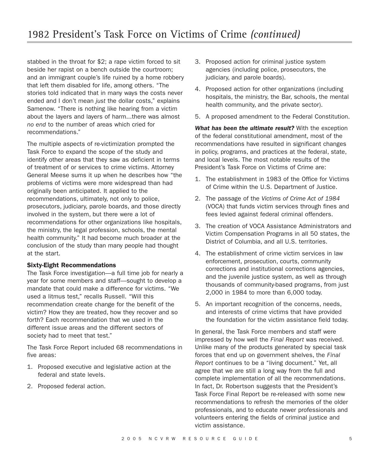stabbed in the throat for \$2; a rape victim forced to sit beside her rapist on a bench outside the courtroom; and an immigrant couple's life ruined by a home robbery that left them disabled for life, among others. "The stories told indicated that in many ways the costs never ended and I don't mean *just* the dollar costs," explains Samenow. "There is nothing like hearing from a victim about the layers and layers of harm...there was almost *no end* to the number of areas which cried for recommendations."

The multiple aspects of re-victimization prompted the Task Force to expand the scope of the study and identify other areas that they saw as deficient in terms of treatment of or services to crime victims. Attorney General Meese sums it up when he describes how "the problems of victims were more widespread than had originally been anticipated. It applied to the recommendations, ultimately, not only to police, prosecutors, judiciary, parole boards, and those directly involved in the system, but there were a lot of recommendations for other organizations like hospitals, the ministry, the legal profession, schools, the mental health community." It had become much broader at the conclusion of the study than many people had thought at the start.

#### **Sixty-Eight Recommendations**

The Task Force investigation—a full time job for nearly a year for some members and staff—sought to develop a mandate that could make a difference for victims. "We used a litmus test," recalls Russell. "Will this recommendation create change for the benefit of the victim? How they are treated, how they recover and so forth? Each recommendation that we used in the different issue areas and the different sectors of society had to meet that test."

The Task Force Report included 68 recommendations in five areas:

- 1. Proposed executive and legislative action at the federal and state levels.
- 2. Proposed federal action.
- 3. Proposed action for criminal justice system agencies (including police, prosecutors, the judiciary, and parole boards).
- 4. Proposed action for other organizations (including hospitals, the ministry, the Bar, schools, the mental health community, and the private sector).
- 5. A proposed amendment to the Federal Constitution.

*What has been the ultimate result?* With the exception of the federal constitutional amendment, most of the recommendations have resulted in significant changes in policy, programs, and practices at the federal, state, and local levels. The most notable results of the President's Task Force on Victims of Crime are:

- 1. The establishment in 1983 of the Office for Victims of Crime within the U.S. Department of Justice.
- 2. The passage of the *Victims of Crime Act of 1984* (VOCA) that funds victim services through fines and fees levied against federal criminal offenders.
- 3. The creation of VOCA Assistance Administrators and Victim Compensation Programs in all 50 states, the District of Columbia, and all U.S. territories.
- 4. The establishment of crime victim services in law enforcement, prosecution, courts, community corrections and institutional corrections agencies, and the juvenile justice system, as well as through thousands of community-based programs, from just 2,000 in 1984 to more than 6,000 today.
- 5. An important recognition of the concerns, needs, and interests of crime victims that have provided the foundation for the victim assistance field today.

In general, the Task Force members and staff were impressed by how well the *Final Report* was received. Unlike many of the products generated by special task forces that end up on government shelves, the *Final Report* continues to be a "living document." Yet, all agree that we are still a long way from the full and complete implementation of all the recommendations. In fact, Dr. Robertson suggests that the President's Task Force Final Report be re-released with some new recommendations to refresh the memories of the older professionals, and to educate newer professionals and volunteers entering the fields of criminal justice and victim assistance.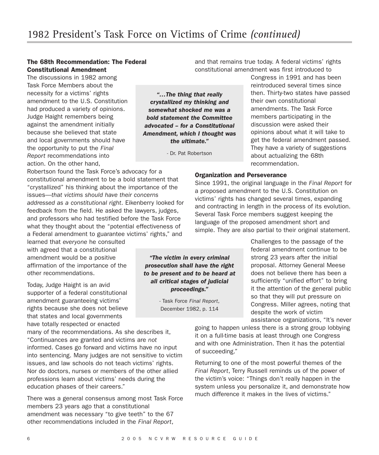### **The 68th Recommendation: The Federal Constitutional Amendment**

The discussions in 1982 among Task Force Members about the necessity for a victims' rights amendment to the U.S. Constitution had produced a variety of opinions. Judge Haight remembers being against the amendment initially because she believed that state and local governments should have the opportunity to put the *Final Report* recommendations into action. On the other hand,

Robertson found the Task Force's advocacy for a constitutional amendment to be a bold statement that "crystallized" his thinking about the importance of the issues—*that victims should have their concerns addressed as a constitutional right*. Eikenberry looked for feedback from the field. He asked the lawyers, judges, and professors who had testified before the Task Force what they thought about the "potential effectiveness of a Federal amendment to guarantee victims' rights," and

learned that *everyone* he consulted with agreed that a constitutional amendment would be a positive affirmation of the importance of the other recommendations.

Today, Judge Haight is an avid supporter of a federal constitutional amendment guaranteeing victims' rights because she does not believe that states and local governments have totally respected or enacted

many of the recommendations. As she describes it, "Continuances are granted and victims are *not* informed. Cases go forward and victims have no input into sentencing. Many judges are not sensitive to victim issues, and law schools do not teach victims' rights. Nor do doctors, nurses or members of the other allied professions learn about victims' needs during the education phases of their careers."

There was a general consensus among most Task Force members 23 years ago that a constitutional amendment was necessary "to give teeth" to the 67 other recommendations included in the *Final Report*,

and that remains true today. A federal victims' rights constitutional amendment was first introduced to

*"…The thing that really crystallized my thinking and somewhat shocked me was a bold statement the Committee advocated – for a Constitutional Amendment, which I thought was the ultimate."*

- Dr. Pat Robertson

Congress in 1991 and has been reintroduced several times since then. Thirty-two states have passed their own constitutional amendments. The Task Force members participating in the discussion were asked their opinions about what it will take to get the federal amendment passed. They have a variety of suggestions about actualizing the 68th recommendation.

#### **Organization and Perseverance**

Since 1991, the original language in the *Final Report* for a proposed amendment to the U.S. Constitution on victims' rights has changed several times, expanding and contracting in length in the process of its evolution. Several Task Force members suggest keeping the language of the proposed amendment short and simple. They are also partial to their original statement.

> Challenges to the passage of the federal amendment continue to be strong 23 years after the initial proposal. Attorney General Meese does not believe there has been a sufficiently "unified effort" to bring it the attention of the general public so that they will put pressure on Congress. Miller agrees, noting that despite the work of victim assistance organizations, "It's never

going to happen unless there is a strong group lobbying it on a full-time basis at least through one Congress and with one Administration. Then it has the potential of succeeding."

Returning to one of the most powerful themes of the *Final Report*, Terry Russell reminds us of the power of the victim's voice: "Things don't really happen in the system unless you personalize it, and demonstrate how much difference it makes in the lives of victims."

*"The victim in every criminal prosecution shall have the right to be present and to be heard at all critical stages of judicial proceedings."*

> - Task Force *Final Report*, December 1982, p. 114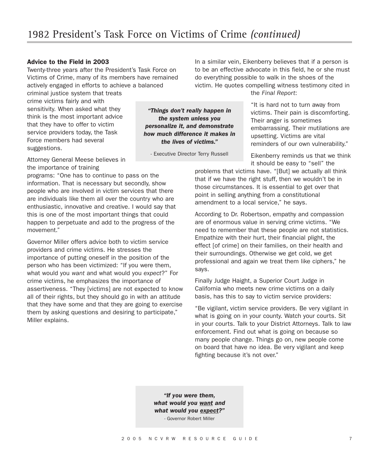*"Things don't really happen in the system unless you personalize it, and demonstrate how much difference it makes in the lives of victims."*

- Executive Director Terry Russell

## **Advice to the Field in 2003**

Twenty-three years after the President's Task Force on Victims of Crime, many of its members have remained actively engaged in efforts to achieve a balanced

criminal justice system that treats crime victims fairly and with sensitivity. When asked what they think is the most important advice that they have to offer to victim service providers today, the Task Force members had several suggestions.

Attorney General Meese believes in the importance of training

programs: "One has to continue to pass on the information. That is necessary but secondly, show people who are involved in victim services that there are individuals like them all over the country who are enthusiastic, innovative and creative. I would say that this is one of the most important things that could happen to perpetuate and add to the progress of the movement."

Governor Miller offers advice both to victim service providers and crime victims. He stresses the importance of putting oneself in the position of the person who has been victimized: "If you were them, what would you *want* and what would you *expect*?" For crime victims, he emphasizes the importance of assertiveness. "They [victims] are not expected to know all of their rights, but they should go in with an attitude that they have some and that they are going to exercise them by asking questions and desiring to participate," Miller explains.

In a similar vein, Eikenberry believes that if a person is to be an effective advocate in this field, he or she must do everything possible to walk in the shoes of the victim. He quotes compelling witness testimony cited in the *Final Report*:

> "It is hard not to turn away from victims. Their pain is discomforting. Their anger is sometimes embarrassing. Their mutilations are upsetting. Victims are vital reminders of our own vulnerability."

Eikenberry reminds us that we think it should be easy to "sell" the

problems that victims have. "[But] we actually all think that if we have the right stuff, then we wouldn't be in those circumstances. It is essential to get over that point in selling anything from a constitutional amendment to a local service," he says.

According to Dr. Robertson, empathy and compassion are of enormous value in serving crime victims. "We need to remember that these people are not statistics. Empathize with their hurt, their financial plight, the effect [of crime] on their families, on their health and their surroundings. Otherwise we get cold, we get professional and again we treat them like ciphers," he says.

Finally Judge Haight, a Superior Court Judge in California who meets new crime victims on a daily basis, has this to say to victim service providers:

"Be vigilant, victim service providers. Be very vigilant in what is going on in your county. Watch your courts. Sit in your courts. Talk to your District Attorneys. Talk to law enforcement. Find out what is going on because so many people change. Things go on, new people come on board that have no idea. Be very vigilant and keep fighting because it's not over."

*"If you were them, what would you want and what would you expect?"*

- Governor Robert Miller